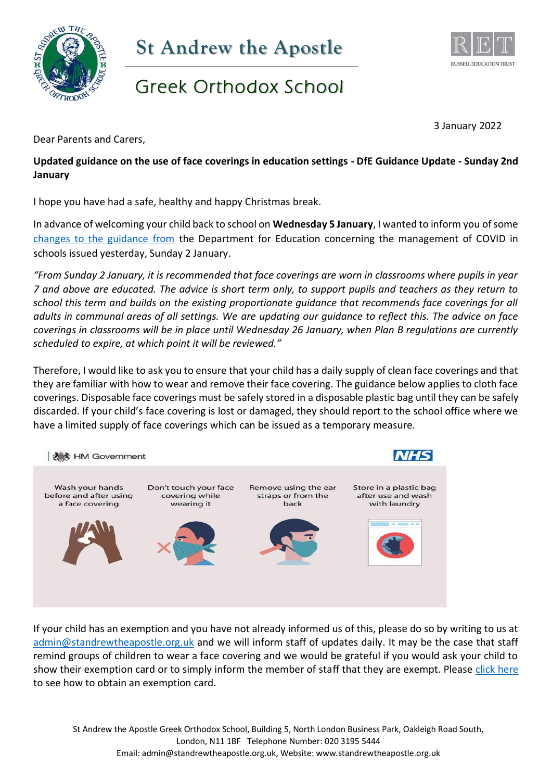



## Greek Orthodox School

3 January 2022

Dear Parents and Carers,

**Updated guidance on the use of face coverings in education settings - DfE Guidance Update - Sunday 2nd January**

I hope you have had a safe, healthy and happy Christmas break.

In advance of welcoming your child back to school on **Wednesday 5 January**, I wanted to inform you of some [changes to the guidance from](https://www.gov.uk/government/news/more-support-to-keep-pupils-in-the-classroom) the Department for Education concerning the management of COVID in schools issued yesterday, Sunday 2 January.

*"From Sunday 2 January, it is recommended that face coverings are worn in classrooms where pupils in year 7 and above are educated. The advice is short term only, to support pupils and teachers as they return to school this term and builds on the existing proportionate guidance that recommends face coverings for all adults in communal areas of all settings. We are updating our guidance to reflect this. The advice on face coverings in classrooms will be in place until Wednesday 26 January, when Plan B regulations are currently scheduled to expire, at which point it will be reviewed."*

Therefore, I would like to ask you to ensure that your child has a daily supply of clean face coverings and that they are familiar with how to wear and remove their face covering. The guidance below applies to cloth face coverings. Disposable face coverings must be safely stored in a disposable plastic bag until they can be safely discarded. If your child's face covering is lost or damaged, they should report to the school office where we have a limited supply of face coverings which can be issued as a temporary measure.



If your child has an exemption and you have not already informed us of this, please do so by writing to us at [admin@standrewtheapostle.org.uk](mailto:admin@standrewtheapostle.org.uk) and we will inform staff of updates daily. It may be the case that staff remind groups of children to wear a face covering and we would be grateful if you would ask your child to show their exemption card or to simply inform the member of staff that they are exempt. Please [click here](https://www.gov.uk/government/publications/face-coverings-when-to-wear-one-and-how-to-make-your-own) to see how to obtain an exemption card.